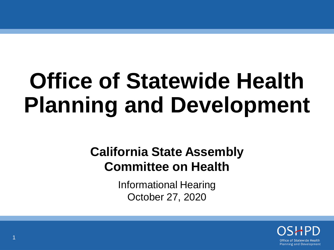## **Office of Statewide Health Planning and Development**

#### **California State Assembly Committee on Health**

Informational Hearing October 27, 2020

> **Office of Statewide Health Planning and Development**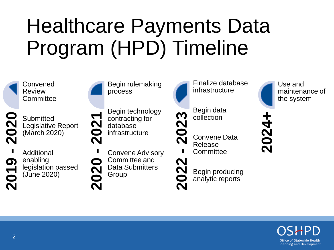#### Healthcare Payments Data Program (HPD) Timeline



Use and maintenance of the system

**2024+**

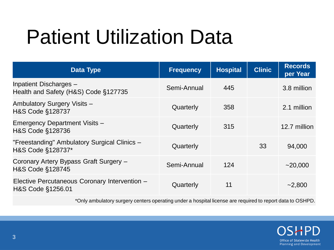#### Patient Utilization Data

| <b>Data Type</b>                                                   | <b>Frequency</b> | <b>Hospital</b> | <b>Clinic</b> | <b>Records</b><br>per Year |
|--------------------------------------------------------------------|------------------|-----------------|---------------|----------------------------|
| Inpatient Discharges -<br>Health and Safety (H&S) Code §127735     | Semi-Annual      | 445             |               | 3.8 million                |
| Ambulatory Surgery Visits -<br>H&S Code §128737                    | Quarterly        | 358             |               | 2.1 million                |
| <b>Emergency Department Visits -</b><br>H&S Code §128736           | Quarterly        | 315             |               | 12.7 million               |
| "Freestanding" Ambulatory Surgical Clinics -<br>H&S Code §128737*  | Quarterly        |                 | 33            | 94,000                     |
| Coronary Artery Bypass Graft Surgery -<br>H&S Code §128745         | Semi-Annual      | 124             |               | ~20,000                    |
| Elective Percutaneous Coronary Intervention -<br>H&S Code §1256.01 | Quarterly        | 11              |               | $-2,800$                   |

\*Only ambulatory surgery centers operating under a hospital license are required to report data to OSHPD.

Office of Statewide Health **Planning and Development**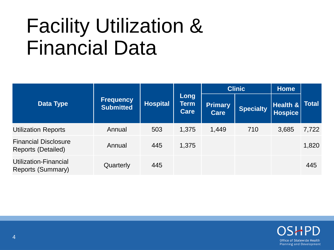#### Facility Utilization & Financial Data

| <b>Data Type</b>                                         | <b>Frequency</b><br><b>Submitted</b> | <b>Hospital</b> | Long<br><b>Term</b><br><b>Care</b> | <b>Clinic</b>                 |                  | <b>Home</b>                   |              |
|----------------------------------------------------------|--------------------------------------|-----------------|------------------------------------|-------------------------------|------------------|-------------------------------|--------------|
|                                                          |                                      |                 |                                    | <b>Primary</b><br><b>Care</b> | <b>Specialty</b> | Health $\&$<br><b>Hospice</b> | <b>Total</b> |
| <b>Utilization Reports</b>                               | Annual                               | 503             | 1,375                              | 1,449                         | 710              | 3,685                         | 7,722        |
| <b>Financial Disclosure</b><br><b>Reports (Detailed)</b> | Annual                               | 445             | 1,375                              |                               |                  |                               | 1,820        |
| Utilization-Financial<br>Reports (Summary)               | Quarterly                            | 445             |                                    |                               |                  |                               | 445          |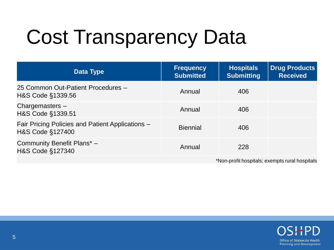### Cost Transparency Data

| <b>Data Type</b>                                                     | <b>Frequency</b><br><b>Submitted</b> | <b>Hospitals</b><br><b>Submitting</b> | <b>Drug Products</b><br><b>Received</b> |  |
|----------------------------------------------------------------------|--------------------------------------|---------------------------------------|-----------------------------------------|--|
| 25 Common Out-Patient Procedures -<br>H&S Code §1339.56              | Annual                               | 406                                   |                                         |  |
| Chargemasters $-$<br>H&S Code §1339.51                               | Annual                               | 406                                   |                                         |  |
| Fair Pricing Policies and Patient Applications -<br>H&S Code §127400 | <b>Biennial</b>                      | 406                                   |                                         |  |
| Community Benefit Plans* -<br>H&S Code §127340                       | Annual                               | 228                                   |                                         |  |
| *Non-profit hospitals; exempts rural hospitals                       |                                      |                                       |                                         |  |